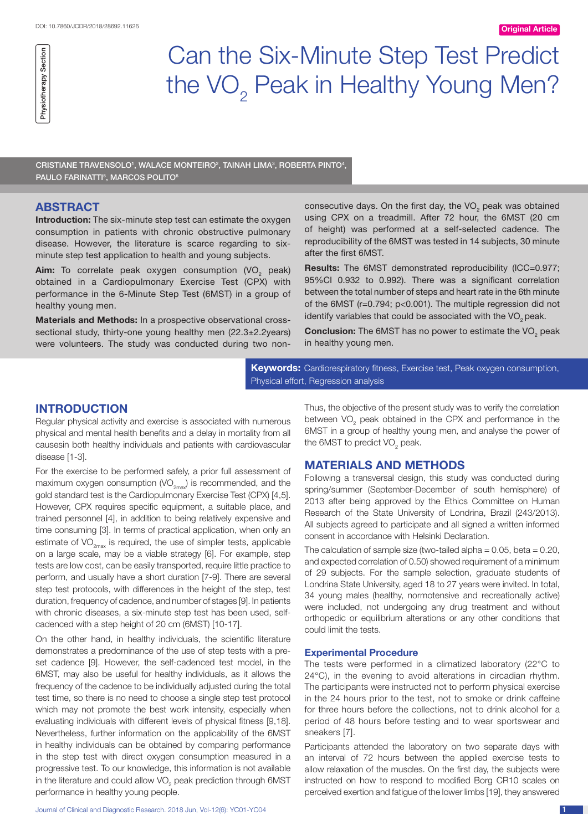# Can the Six-Minute Step Test Predict the VO<sub>2</sub> Peak in Healthy Young Men?

CRISTIANE TRAVENSOLO<sup>1</sup>, WALACE MONTEIRO<sup>2</sup>, TAINAH LIMA<sup>3</sup>, ROBERTA PINTO<sup>4</sup>, PAULO FARINATTI<sup>5</sup>, MARCOS POLITO<sup>6</sup>

#### **ABSTRACT**

**Introduction:** The six-minute step test can estimate the oxygen consumption in patients with chronic obstructive pulmonary disease. However, the literature is scarce regarding to sixminute step test application to health and young subjects.

Aim: To correlate peak oxygen consumption (VO<sub>2</sub> peak) obtained in a Cardiopulmonary Exercise Test (CPX) with performance in the 6-Minute Step Test (6MST) in a group of healthy young men.

**Materials and Methods:** In a prospective observational crosssectional study, thirty-one young healthy men (22.3±2.2years) were volunteers. The study was conducted during two non-

consecutive days. On the first day, the VO<sub>2</sub> peak was obtained using CPX on a treadmill. After 72 hour, the 6MST (20 cm of height) was performed at a self-selected cadence. The reproducibility of the 6MST was tested in 14 subjects, 30 minute after the first 6MST.

**Results:** The 6MST demonstrated reproducibility (ICC=0.977; 95%CI 0.932 to 0.992). There was a significant correlation between the total number of steps and heart rate in the 6th minute of the 6MST (r=0.794; p<0.001). The multiple regression did not identify variables that could be associated with the VO<sub>2</sub> peak.

**Conclusion:** The 6MST has no power to estimate the VO<sub>2</sub> peak in healthy young men.

**Keywords:** Cardiorespiratory fitness, Exercise test, Peak oxygen consumption, Physical effort, Regression analysis

## **Introduction**

Regular physical activity and exercise is associated with numerous physical and mental health benefits and a delay in mortality from all causesin both healthy individuals and patients with cardiovascular disease [1-3].

For the exercise to be performed safely, a prior full assessment of maximum oxygen consumption  $(VO_{2mx})$  is recommended, and the gold standard test is the Cardiopulmonary Exercise Test (CPX) [4,5]. However, CPX requires specific equipment, a suitable place, and trained personnel [4], in addition to being relatively expensive and time consuming [3]. In terms of practical application, when only an estimate of  $VO_{2\text{max}}$  is required, the use of simpler tests, applicable on a large scale, may be a viable strategy [6]. For example, step tests are low cost, can be easily transported, require little practice to perform, and usually have a short duration [7-9]. There are several step test protocols, with differences in the height of the step, test duration, frequency of cadence, and number of stages [9]. In patients with chronic diseases, a six-minute step test has been used, selfcadenced with a step height of 20 cm (6MST) [10-17].

On the other hand, in healthy individuals, the scientific literature demonstrates a predominance of the use of step tests with a preset cadence [9]. However, the self-cadenced test model, in the 6MST, may also be useful for healthy individuals, as it allows the frequency of the cadence to be individually adjusted during the total test time, so there is no need to choose a single step test protocol which may not promote the best work intensity, especially when evaluating individuals with different levels of physical fitness [9,18]. Nevertheless, further information on the applicability of the 6MST in healthy individuals can be obtained by comparing performance in the step test with direct oxygen consumption measured in a progressive test. To our knowledge, this information is not available in the literature and could allow VO<sub>2</sub> peak prediction through 6MST performance in healthy young people.

Journal of Clinical and Diagnostic Research. 2018 Jun, Vol-12(6): YC01-YC04 1

Thus, the objective of the present study was to verify the correlation between  $\rm VO_{2}$  peak obtained in the CPX and performance in the 6MST in a group of healthy young men, and analyse the power of the 6MST to predict VO<sub>2</sub> peak.

#### **Materials and Methods**

Following a transversal design, this study was conducted during spring/summer (September-December of south hemisphere) of 2013 after being approved by the Ethics Committee on Human Research of the State University of Londrina, Brazil (243/2013). All subjects agreed to participate and all signed a written informed consent in accordance with Helsinki Declaration.

The calculation of sample size (two-tailed alpha =  $0.05$ , beta =  $0.20$ , and expected correlation of 0.50) showed requirement of a minimum of 29 subjects. For the sample selection, graduate students of Londrina State University, aged 18 to 27 years were invited. In total, 34 young males (healthy, normotensive and recreationally active) were included, not undergoing any drug treatment and without orthopedic or equilibrium alterations or any other conditions that could limit the tests.

#### **Experimental Procedure**

The tests were performed in a climatized laboratory (22°C to 24°C), in the evening to avoid alterations in circadian rhythm. The participants were instructed not to perform physical exercise in the 24 hours prior to the test, not to smoke or drink caffeine for three hours before the collections, not to drink alcohol for a period of 48 hours before testing and to wear sportswear and sneakers [7].

Participants attended the laboratory on two separate days with an interval of 72 hours between the applied exercise tests to allow relaxation of the muscles. On the first day, the subjects were instructed on how to respond to modified Borg CR10 scales on perceived exertion and fatigue of the lower limbs [19], they answered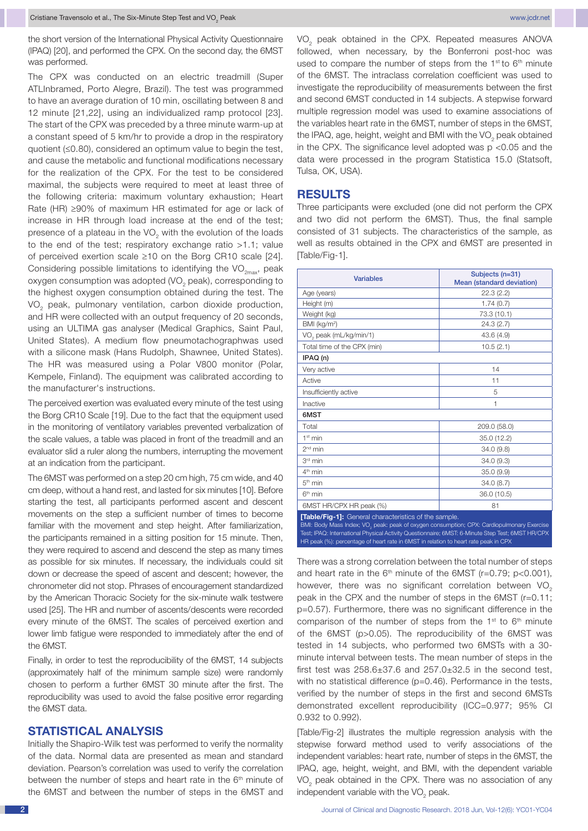the short version of the International Physical Activity Questionnaire (IPAQ) [20], and performed the CPX. On the second day, the 6MST was performed.

The CPX was conducted on an electric treadmill (Super ATLInbramed, Porto Alegre, Brazil). The test was programmed to have an average duration of 10 min, oscillating between 8 and 12 minute [21,22], using an individualized ramp protocol [23]. The start of the CPX was preceded by a three minute warm-up at a constant speed of 5 km/hr to provide a drop in the respiratory quotient (≤0.80), considered an optimum value to begin the test. and cause the metabolic and functional modifications necessary for the realization of the CPX. For the test to be considered maximal, the subjects were required to meet at least three of the following criteria: maximum voluntary exhaustion; Heart Rate (HR) ≥90% of maximum HR estimated for age or lack of increase in HR through load increase at the end of the test; presence of a plateau in the VO<sub>2</sub> with the evolution of the loads to the end of the test; respiratory exchange ratio >1.1; value of perceived exertion scale ≥10 on the Borg CR10 scale [24]. Considering possible limitations to identifying the VO<sub>2max</sub>, peak oxygen consumption was adopted  $(VO<sub>2</sub> peak)$ , corresponding to the highest oxygen consumption obtained during the test. The VO<sub>2</sub> peak, pulmonary ventilation, carbon dioxide production, and HR were collected with an output frequency of 20 seconds, using an ULTIMA gas analyser (Medical Graphics, Saint Paul, United States). A medium flow pneumotachographwas used with a silicone mask (Hans Rudolph, Shawnee, United States). The HR was measured using a Polar V800 monitor (Polar, Kempele, Finland). The equipment was calibrated according to the manufacturer's instructions.

The perceived exertion was evaluated every minute of the test using the Borg CR10 Scale [19]. Due to the fact that the equipment used in the monitoring of ventilatory variables prevented verbalization of the scale values, a table was placed in front of the treadmill and an evaluator slid a ruler along the numbers, interrupting the movement at an indication from the participant.

The 6MST was performed on a step 20 cm high, 75 cm wide, and 40 cm deep, without a hand rest, and lasted for six minutes [10]. Before starting the test, all participants performed ascent and descent movements on the step a sufficient number of times to become familiar with the movement and step height. After familiarization, the participants remained in a sitting position for 15 minute. Then, they were required to ascend and descend the step as many times as possible for six minutes. If necessary, the individuals could sit down or decrease the speed of ascent and descent; however, the chronometer did not stop. Phrases of encouragement standardized by the American Thoracic Society for the six-minute walk testwere used [25]. The HR and number of ascents/descents were recorded every minute of the 6MST. The scales of perceived exertion and lower limb fatigue were responded to immediately after the end of the 6MST.

Finally, in order to test the reproducibility of the 6MST, 14 subjects (approximately half of the minimum sample size) were randomly chosen to perform a further 6MST 30 minute after the first. The reproducibility was used to avoid the false positive error regarding the 6MST data.

## **STATISTICAL ANALYSIS**

Initially the Shapiro-Wilk test was performed to verify the normality of the data. Normal data are presented as mean and standard deviation. Pearson's correlation was used to verify the correlation between the number of steps and heart rate in the 6<sup>th</sup> minute of the 6MST and between the number of steps in the 6MST and VO<sub>2</sub> peak obtained in the CPX. Repeated measures ANOVA followed, when necessary, by the Bonferroni post-hoc was used to compare the number of steps from the  $1<sup>st</sup>$  to  $6<sup>th</sup>$  minute of the 6MST. The intraclass correlation coefficient was used to investigate the reproducibility of measurements between the first and second 6MST conducted in 14 subjects. A stepwise forward multiple regression model was used to examine associations of the variables heart rate in the 6MST, number of steps in the 6MST, the IPAQ, age, height, weight and BMI with the VO<sub>2</sub> peak obtained in the CPX. The significance level adopted was  $p$  <0.05 and the data were processed in the program Statistica 15.0 (Statsoft, Tulsa, OK, USA).

#### **Results**

Three participants were excluded (one did not perform the CPX and two did not perform the 6MST). Thus, the final sample consisted of 31 subjects. The characteristics of the sample, as well as results obtained in the CPX and 6MST are presented in [Table/Fig-1].

| <b>Variables</b>                                                                                                                                                                                                                                                                                                                                          | Subjects (n=31)<br>Mean (standard deviation) |  |  |  |  |
|-----------------------------------------------------------------------------------------------------------------------------------------------------------------------------------------------------------------------------------------------------------------------------------------------------------------------------------------------------------|----------------------------------------------|--|--|--|--|
| Age (years)                                                                                                                                                                                                                                                                                                                                               | 22.3(2.2)                                    |  |  |  |  |
| Height (m)                                                                                                                                                                                                                                                                                                                                                | 1.74(0.7)                                    |  |  |  |  |
| Weight (kg)                                                                                                                                                                                                                                                                                                                                               | 73.3 (10.1)                                  |  |  |  |  |
| BMI (kg/m <sup>2</sup> )                                                                                                                                                                                                                                                                                                                                  | 24.3(2.7)                                    |  |  |  |  |
| VO <sub>2</sub> peak (mL/kg/min/1)                                                                                                                                                                                                                                                                                                                        | 43.6 (4.9)                                   |  |  |  |  |
| Total time of the CPX (min)                                                                                                                                                                                                                                                                                                                               | 10.5(2.1)                                    |  |  |  |  |
| IPAQ (n)                                                                                                                                                                                                                                                                                                                                                  |                                              |  |  |  |  |
| Very active                                                                                                                                                                                                                                                                                                                                               | 14                                           |  |  |  |  |
| Active                                                                                                                                                                                                                                                                                                                                                    | 11                                           |  |  |  |  |
| Insufficiently active                                                                                                                                                                                                                                                                                                                                     | 5                                            |  |  |  |  |
| Inactive                                                                                                                                                                                                                                                                                                                                                  | 1                                            |  |  |  |  |
| 6MST                                                                                                                                                                                                                                                                                                                                                      |                                              |  |  |  |  |
| Total                                                                                                                                                                                                                                                                                                                                                     | 209.0 (58.0)                                 |  |  |  |  |
| 1 <sup>st</sup> min                                                                                                                                                                                                                                                                                                                                       | 35.0 (12.2)                                  |  |  |  |  |
| $2nd$ min                                                                                                                                                                                                                                                                                                                                                 | 34.0 (9.8)                                   |  |  |  |  |
| 3rd min                                                                                                                                                                                                                                                                                                                                                   | 34.0(9.3)                                    |  |  |  |  |
| 4 <sup>th</sup> min                                                                                                                                                                                                                                                                                                                                       | 35.0(9.9)                                    |  |  |  |  |
| 5 <sup>th</sup> min                                                                                                                                                                                                                                                                                                                                       | 34.0(8.7)                                    |  |  |  |  |
| $6th$ min                                                                                                                                                                                                                                                                                                                                                 | 36.0 (10.5)                                  |  |  |  |  |
| 6MST HR/CPX HR peak (%)                                                                                                                                                                                                                                                                                                                                   | 81                                           |  |  |  |  |
| [Table/Fig-1]: General characteristics of the sample.<br>BMI: Body Mass Index; VO <sub>3</sub> peak: peak of oxygen consumption; CPX: Cardiopulmonary Exercise<br>Test; IPAQ: International Physical Activity Questionnaire; 6MST: 6-Minute Step Test; 6MST HR/CPX<br>HR peak (%): percentage of heart rate in 6MST in relation to heart rate peak in CPX |                                              |  |  |  |  |

There was a strong correlation between the total number of steps and heart rate in the  $6<sup>th</sup>$  minute of the 6MST (r=0.79; p<0.001), however, there was no significant correlation between  $VO<sub>2</sub>$ peak in the CPX and the number of steps in the 6MST (r=0.11; p=0.57). Furthermore, there was no significant difference in the comparison of the number of steps from the 1<sup>st</sup> to 6<sup>th</sup> minute of the 6MST (p>0.05). The reproducibility of the 6MST was tested in 14 subjects, who performed two 6MSTs with a 30 minute interval between tests. The mean number of steps in the first test was  $258.6 \pm 37.6$  and  $257.0 \pm 32.5$  in the second test, with no statistical difference (p=0.46). Performance in the tests, verified by the number of steps in the first and second 6MSTs demonstrated excellent reproducibility (ICC=0.977; 95% CI 0.932 to 0.992).

[Table/Fig-2] illustrates the multiple regression analysis with the stepwise forward method used to verify associations of the independent variables: heart rate, number of steps in the 6MST, the IPAQ, age, height, weight, and BMI, with the dependent variable  $\rm VO_{2}$  peak obtained in the CPX. There was no association of any independent variable with the  $\rm VO_{2}$  peak.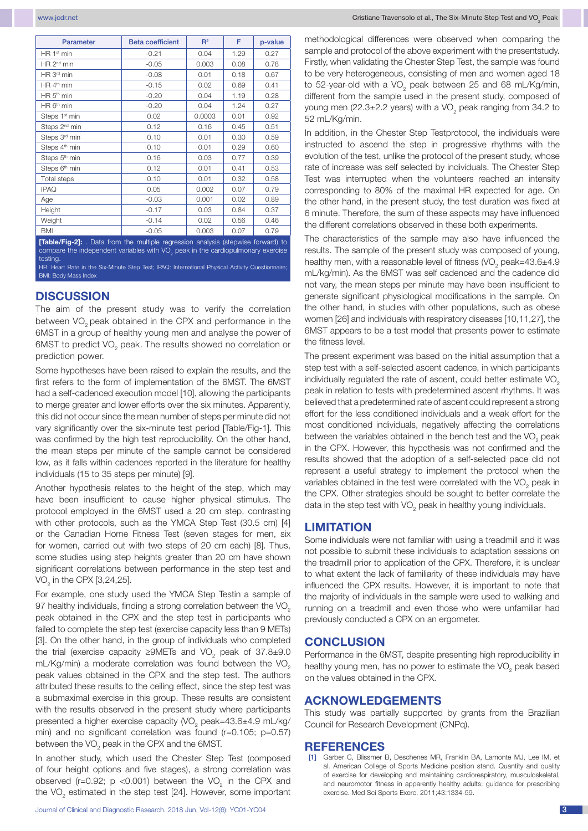| <b>Parameter</b>                                                                  | <b>Beta coefficient</b> | $R^2$  | F.   | p-value |
|-----------------------------------------------------------------------------------|-------------------------|--------|------|---------|
| HR 1 <sup>st</sup> min                                                            | $-0.21$                 | 0.04   | 1.29 | 0.27    |
| HR 2 <sup>nd</sup> min                                                            | $-0.05$                 | 0.003  | 0.08 | 0.78    |
| HR 3rd min                                                                        | $-0.08$                 | 0.01   | 0.18 | 0.67    |
| HR 4 <sup>th</sup> min                                                            | $-0.15$                 | 0.02   | 0.69 | 0.41    |
| HR 5 <sup>th</sup> min                                                            | $-0.20$                 | 0.04   | 1.19 | 0.28    |
| HR 6 <sup>th</sup> min                                                            | $-0.20$                 | 0.04   | 1.24 | 0.27    |
| Steps 1 <sup>st</sup> min                                                         | 0.02                    | 0.0003 | 0.01 | 0.92    |
| Steps 2 <sup>nd</sup> min                                                         | 0.12                    | 0.16   | 0.45 | 0.51    |
| Steps 3 <sup>rd</sup> min                                                         | 0.10                    | 0.01   | 0.30 | 0.59    |
| Steps 4 <sup>th</sup> min                                                         | 0.10                    | 0.01   | 0.29 | 0.60    |
| Steps 5 <sup>th</sup> min                                                         | 0.16                    | 0.03   | 0.77 | 0.39    |
| Steps 6 <sup>th</sup> min                                                         | 0.12                    | 0.01   | 0.41 | 0.53    |
| Total steps                                                                       | 0.10                    | 0.01   | 0.32 | 0.58    |
| <b>IPAQ</b>                                                                       | 0.05                    | 0.002  | 0.07 | 0.79    |
| Age                                                                               | $-0.03$                 | 0.001  | 0.02 | 0.89    |
| Height                                                                            | $-0.17$                 | 0.03   | 0.84 | 0.37    |
| Weight                                                                            | $-0.14$                 | 0.02   | 0.56 | 0.46    |
| <b>BMI</b>                                                                        | $-0.05$                 | 0.003  | 0.07 | 0.79    |
| [Table/Fig-2]: . Data from the multiple regression analysis (stepwise forward) to |                         |        |      |         |

compare the independent variables with VO<sub>2</sub> peak in the cardiopulmonary exercise testing. HR: Heart Rate in the Six-Minute Step Test; IPAQ: International Physical Activity Questionnaire;

BMI: Body Mass Index

### **Discussion**

The aim of the present study was to verify the correlation between VO<sub>2</sub> peak obtained in the CPX and performance in the 6MST in a group of healthy young men and analyse the power of 6MST to predict VO<sub>2</sub> peak. The results showed no correlation or prediction power.

Some hypotheses have been raised to explain the results, and the first refers to the form of implementation of the 6MST. The 6MST had a self-cadenced execution model [10], allowing the participants to merge greater and lower efforts over the six minutes. Apparently, this did not occur since the mean number of steps per minute did not vary significantly over the six-minute test period [Table/Fig-1]. This was confirmed by the high test reproducibility. On the other hand, the mean steps per minute of the sample cannot be considered low, as it falls within cadences reported in the literature for healthy individuals (15 to 35 steps per minute) [9].

Another hypothesis relates to the height of the step, which may have been insufficient to cause higher physical stimulus. The protocol employed in the 6MST used a 20 cm step, contrasting with other protocols, such as the YMCA Step Test (30.5 cm) [4] or the Canadian Home Fitness Test (seven stages for men, six for women, carried out with two steps of 20 cm each) [8]. Thus, some studies using step heights greater than 20 cm have shown significant correlations between performance in the step test and VO<sub>2</sub> in the CPX [3,24,25].

For example, one study used the YMCA Step Testin a sample of 97 healthy individuals, finding a strong correlation between the VO<sub>2</sub> peak obtained in the CPX and the step test in participants who failed to complete the step test (exercise capacity less than 9 METs) [3]. On the other hand, in the group of individuals who completed the trial (exercise capacity ≥9METs and VO<sub>2</sub> peak of 37.8±9.0 mL/Kg/min) a moderate correlation was found between the VO<sub>2</sub> peak values obtained in the CPX and the step test. The authors attributed these results to the ceiling effect, since the step test was a submaximal exercise in this group. These results are consistent with the results observed in the present study where participants presented a higher exercise capacity (VO<sub>2</sub> peak=43.6±4.9 mL/kg/ min) and no significant correlation was found (r=0.105; p=0.57) between the VO<sub>2</sub> peak in the CPX and the 6MST.

In another study, which used the Chester Step Test (composed of four height options and five stages), a strong correlation was observed (r=0.92;  $p$  <0.001) between the VO<sub>2</sub> in the CPX and the VO<sub>2</sub> estimated in the step test [24]. However, some important methodological differences were observed when comparing the sample and protocol of the above experiment with the presentstudy. Firstly, when validating the Chester Step Test, the sample was found to be very heterogeneous, consisting of men and women aged 18 to 52-year-old with a VO<sub>2</sub> peak between 25 and 68 mL/Kg/min, different from the sample used in the present study, composed of young men (22.3 $\pm$ 2.2 years) with a VO<sub>2</sub> peak ranging from 34.2 to 52 mL/Kg/min.

In addition, in the Chester Step Testprotocol, the individuals were instructed to ascend the step in progressive rhythms with the evolution of the test, unlike the protocol of the present study, whose rate of increase was self selected by individuals. The Chester Step Test was interrupted when the volunteers reached an intensity corresponding to 80% of the maximal HR expected for age. On the other hand, in the present study, the test duration was fixed at 6 minute. Therefore, the sum of these aspects may have influenced the different correlations observed in these both experiments.

The characteristics of the sample may also have influenced the results. The sample of the present study was composed of young, healthy men, with a reasonable level of fitness (VO<sub>2</sub> peak=43.6±4.9 mL/kg/min). As the 6MST was self cadenced and the cadence did not vary, the mean steps per minute may have been insufficient to generate significant physiological modifications in the sample. On the other hand, in studies with other populations, such as obese women [26] and individuals with respiratory diseases [10,11,27], the 6MST appears to be a test model that presents power to estimate the fitness level.

The present experiment was based on the initial assumption that a step test with a self-selected ascent cadence, in which participants individually regulated the rate of ascent, could better estimate VO<sub>2</sub> peak in relation to tests with predetermined ascent rhythms. It was believed that a predetermined rate of ascent could represent a strong effort for the less conditioned individuals and a weak effort for the most conditioned individuals, negatively affecting the correlations between the variables obtained in the bench test and the VO<sub>2</sub> peak in the CPX. However, this hypothesis was not confirmed and the results showed that the adoption of a self-selected pace did not represent a useful strategy to implement the protocol when the variables obtained in the test were correlated with the VO<sub>2</sub> peak in the CPX. Other strategies should be sought to better correlate the data in the step test with VO<sub>2</sub> peak in healthy young individuals.

# **limitation**

Some individuals were not familiar with using a treadmill and it was not possible to submit these individuals to adaptation sessions on the treadmill prior to application of the CPX. Therefore, it is unclear to what extent the lack of familiarity of these individuals may have influenced the CPX results. However, it is important to note that the majority of individuals in the sample were used to walking and running on a treadmill and even those who were unfamiliar had previously conducted a CPX on an ergometer.

#### **Conclusion**

Performance in the 6MST, despite presenting high reproducibility in healthy young men, has no power to estimate the VO<sub>2</sub> peak based on the values obtained in the CPX.

### **ACKNOWLEDGEMENTs**

This study was partially supported by grants from the Brazilian Council for Research Development (CNPq).

#### **References**

[1] Garber C, Blissmer B, Deschenes MR, Franklin BA, Lamonte MJ, Lee IM, et al. American College of Sports Medicine position stand. Quantity and quality of exercise for developing and maintaining cardiorespiratory, musculoskeletal, and neuromotor fitness in apparently healthy adults: guidance for prescribing exercise. Med Sci Sports Exerc. 2011;43:1334-59.